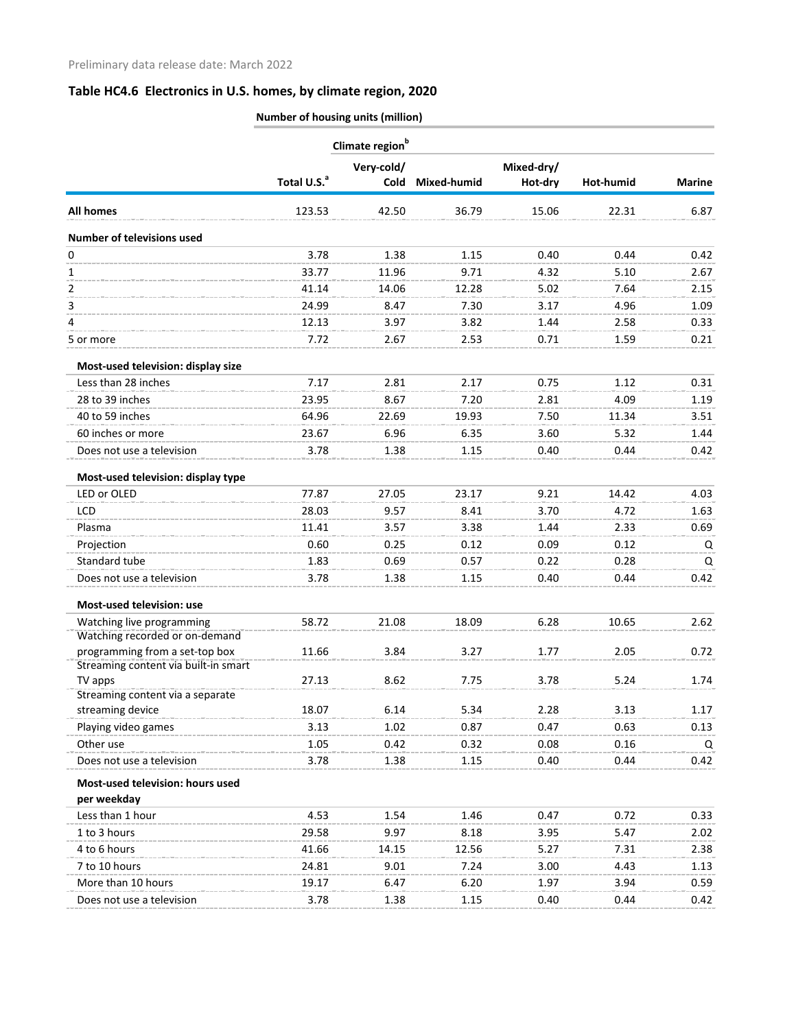|                                                             | Number of housing units (million) |                             |               |              |              |               |
|-------------------------------------------------------------|-----------------------------------|-----------------------------|---------------|--------------|--------------|---------------|
|                                                             |                                   | Climate region <sup>b</sup> |               |              |              |               |
|                                                             | Very-cold/                        |                             |               | Mixed-dry/   |              |               |
|                                                             | Total U.S. <sup>a</sup>           | Cold                        | Mixed-humid   | Hot-dry      | Hot-humid    | <b>Marine</b> |
| <b>All homes</b>                                            | 123.53                            | 42.50                       | 36.79         | 15.06        | 22.31        | 6.87          |
| <b>Number of televisions used</b>                           |                                   |                             |               |              |              |               |
| 0                                                           | 3.78                              | 1.38                        | 1.15          | 0.40         | 0.44         | 0.42          |
| 1                                                           | 33.77                             | 11.96                       | 9.71          | 4.32         | 5.10         | 2.67          |
| 2                                                           | 41.14                             | 14.06                       | 12.28         | 5.02         | 7.64         | 2.15          |
| 3                                                           | 24.99                             | 8.47                        | 7.30          | 3.17         | 4.96         | 1.09          |
| 4                                                           | 12.13                             | 3.97                        | 3.82          | 1.44         | 2.58         | 0.33          |
| 5 or more                                                   | 7.72                              | 2.67                        | 2.53          | 0.71         | 1.59         | 0.21          |
| Most-used television: display size                          |                                   |                             |               |              |              |               |
| Less than 28 inches                                         | 7.17                              | 2.81                        | 2.17          | 0.75         | 1.12         | 0.31          |
| 28 to 39 inches                                             | 23.95                             | 8.67                        | 7.20          | 2.81         | 4.09         | 1.19          |
| 40 to 59 inches                                             | 64.96                             | 22.69                       | 19.93         | 7.50         | 11.34        | 3.51          |
| 60 inches or more                                           | 23.67                             | 6.96                        | 6.35          | 3.60         | 5.32         | 1.44          |
| Does not use a television                                   | 3.78                              | 1.38                        | 1.15          | 0.40         | 0.44         | 0.42          |
| Most-used television: display type                          |                                   |                             |               |              |              |               |
| LED or OLED                                                 | 77.87                             | 27.05                       | 23.17         | 9.21         | 14.42        | 4.03          |
| LCD                                                         | 28.03                             | 9.57                        | 8.41          | 3.70         | 4.72         | 1.63          |
| Plasma                                                      | 11.41                             | 3.57                        | 3.38          | 1.44         | 2.33         | 0.69          |
| Projection                                                  | 0.60                              | 0.25                        | 0.12          | 0.09         | 0.12         | Q             |
| Standard tube                                               | 1.83                              | 0.69                        | 0.57          | 0.22         | 0.28         | Q             |
| Does not use a television                                   | 3.78                              | 1.38                        | 1.15          | 0.40         | 0.44         | 0.42          |
| Most-used television: use                                   |                                   |                             |               |              |              |               |
| Watching live programming<br>Watching recorded or on-demand | 58.72                             | 21.08                       | 18.09         | 6.28         | 10.65        | 2.62          |
| programming from a set-top box                              | 11.66                             | 3.84                        | 3.27          | 1.77         | 2.05         | 0.72          |
| Streaming content via built-in smart                        |                                   |                             |               |              |              |               |
| TV apps                                                     | 27.13                             | 8.62                        | 7.75          | 3.78         | 5.24         | 1.74          |
| Streaming content via a separate                            |                                   |                             |               |              |              |               |
| streaming device                                            | 18.07                             | 6.14                        | 5.34          | 2.28         | 3.13         | 1.17          |
| Playing video games                                         | 3.13                              | 1.02                        | 0.87          | 0.47         | 0.63         | 0.13          |
| Other use                                                   | 1.05                              | 0.42                        | 0.32          | 0.08         | 0.16         | Q             |
| Does not use a television                                   | 3.78                              | 1.38                        | 1.15          | 0.40         | 0.44         | 0.42          |
| Most-used television: hours used                            |                                   |                             |               |              |              |               |
| per weekday<br>Less than 1 hour                             | 4.53                              | 1.54                        | 1.46          | 0.47         | 0.72         | 0.33          |
| 1 to 3 hours                                                | 29.58                             | 9.97                        | 8.18          | 3.95         |              | 2.02          |
| 4 to 6 hours                                                |                                   |                             |               |              | 5.47         |               |
| 7 to 10 hours                                               | 41.66<br>24.81                    | 14.15<br>9.01               | 12.56<br>7.24 | 5.27<br>3.00 | 7.31<br>4.43 | 2.38<br>1.13  |
|                                                             |                                   |                             |               |              |              |               |
| More than 10 hours                                          | 19.17                             | 6.47                        | 6.20          | 1.97         | 3.94         | 0.59          |
| Does not use a television                                   | 3.78                              | 1.38                        | 1.15          | 0.40         | 0.44         | 0.42          |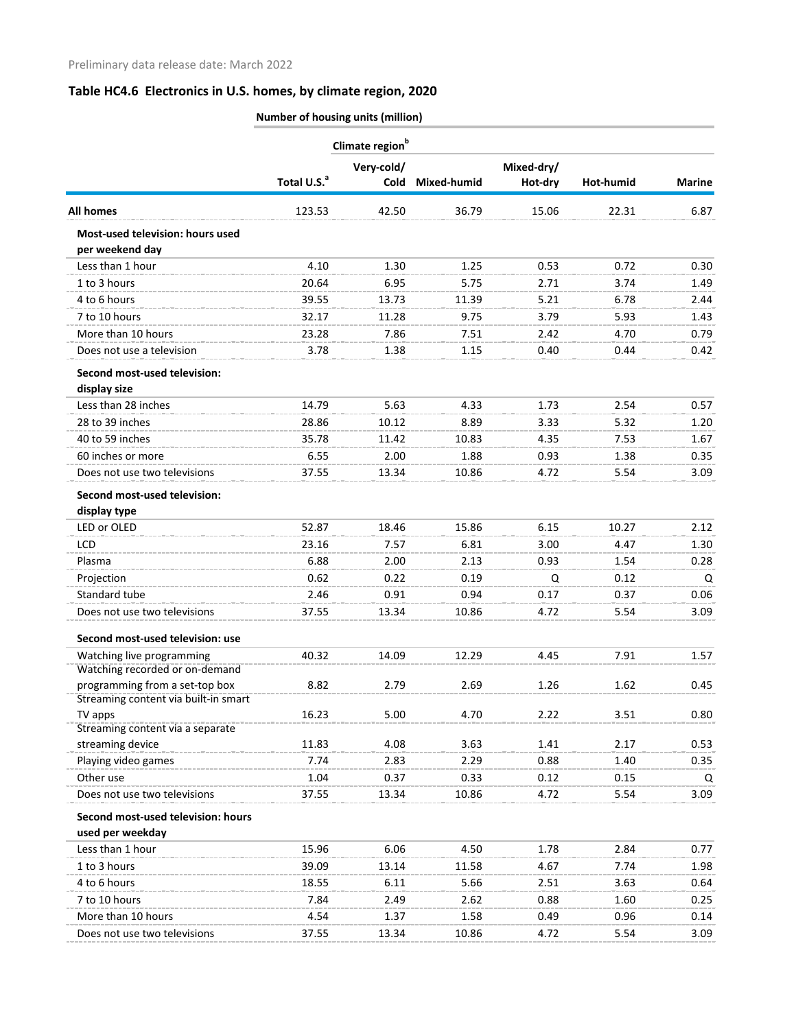**Number of housing units (million)**

|                                                                        | Climate region <sup>b</sup> |            |                  |            |           |               |
|------------------------------------------------------------------------|-----------------------------|------------|------------------|------------|-----------|---------------|
|                                                                        |                             | Very-cold/ |                  | Mixed-dry/ |           |               |
|                                                                        | Total U.S. <sup>a</sup>     |            | Cold Mixed-humid | Hot-dry    | Hot-humid | <b>Marine</b> |
| <b>All homes</b>                                                       | 123.53                      | 42.50      | 36.79            | 15.06      | 22.31     | 6.87          |
| Most-used television: hours used<br>per weekend day                    |                             |            |                  |            |           |               |
| Less than 1 hour                                                       | 4.10                        | 1.30       | 1.25             | 0.53       | 0.72      | 0.30          |
| 1 to 3 hours                                                           | 20.64                       | 6.95       | 5.75             | 2.71       | 3.74      | 1.49          |
| 4 to 6 hours                                                           | 39.55                       | 13.73      | 11.39            | 5.21       | 6.78      | 2.44          |
| 7 to 10 hours                                                          | 32.17                       | 11.28      | 9.75             | 3.79       | 5.93      | 1.43          |
| More than 10 hours                                                     | 23.28                       | 7.86       | 7.51             | 2.42       | 4.70      | 0.79          |
| Does not use a television                                              | 3.78                        | 1.38       | 1.15             | 0.40       | 0.44      | 0.42          |
| Second most-used television:                                           |                             |            |                  |            |           |               |
| display size                                                           |                             |            |                  |            |           |               |
| Less than 28 inches                                                    | 14.79                       | 5.63       | 4.33             | 1.73       | 2.54      | 0.57          |
| 28 to 39 inches                                                        | 28.86                       | 10.12      | 8.89             | 3.33       | 5.32      | 1.20          |
| 40 to 59 inches                                                        | 35.78                       | 11.42      | 10.83            | 4.35       | 7.53      | 1.67          |
| 60 inches or more                                                      | 6.55                        | 2.00       | 1.88             | 0.93       | 1.38      | 0.35          |
| Does not use two televisions                                           | 37.55                       | 13.34      | 10.86            | 4.72       | 5.54      | 3.09          |
| Second most-used television:                                           |                             |            |                  |            |           |               |
| display type                                                           |                             |            |                  |            |           |               |
| LED or OLED                                                            | 52.87                       | 18.46      | 15.86            | 6.15       | 10.27     | 2.12          |
| LCD                                                                    | 23.16                       | 7.57       | 6.81             | 3.00       | 4.47      | 1.30          |
| Plasma                                                                 | 6.88                        | 2.00       | 2.13             | 0.93       | 1.54      | 0.28          |
| Projection                                                             | 0.62                        | 0.22       | 0.19             | Q          | 0.12      | Q             |
| Standard tube                                                          | 2.46                        | 0.91       | 0.94             | 0.17       | 0.37      | 0.06          |
| Does not use two televisions                                           | 37.55                       | 13.34      | 10.86            | 4.72       | 5.54      | 3.09          |
| Second most-used television: use                                       |                             |            |                  |            |           |               |
| Watching live programming                                              | 40.32                       | 14.09      | 12.29            | 4.45       | 7.91      | 1.57          |
| Watching recorded or on-demand                                         |                             |            |                  |            |           |               |
| programming from a set-top box<br>Streaming content via built-in smart | 8.82                        | 2.79       | 2.69             | 1.26       | 1.62      | 0.45          |
| TV apps                                                                | 16.23                       | 5.00       | 4.70             | 2.22       | 3.51      | 0.80          |
| Streaming content via a separate                                       |                             |            |                  |            |           |               |
| streaming device                                                       | 11.83                       | 4.08       | 3.63             | 1.41       | 2.17      | 0.53          |
| Playing video games                                                    | 7.74                        | 2.83       | 2.29             | 0.88       | 1.40      | 0.35          |
| Other use                                                              | 1.04                        | 0.37       | 0.33             | 0.12       | 0.15      | Q             |
| Does not use two televisions                                           | 37.55                       | 13.34      | 10.86            | 4.72       | 5.54      | 3.09          |
| Second most-used television: hours                                     |                             |            |                  |            |           |               |
| used per weekday                                                       |                             |            |                  |            |           |               |
| Less than 1 hour                                                       | 15.96                       | 6.06       | 4.50             | 1.78       | 2.84      | 0.77          |
| 1 to 3 hours                                                           | 39.09                       | 13.14      | 11.58            | 4.67       | 7.74      | 1.98          |
| 4 to 6 hours                                                           | 18.55                       | 6.11       | 5.66             | 2.51       | 3.63      | 0.64          |
| 7 to 10 hours                                                          | 7.84                        | 2.49       | 2.62             | 0.88       | 1.60      | 0.25          |
| More than 10 hours                                                     | 4.54                        | 1.37       | 1.58             | 0.49       | 0.96      | 0.14          |
| Does not use two televisions                                           | 37.55                       | 13.34      | 10.86            | 4.72       | 5.54      | 3.09          |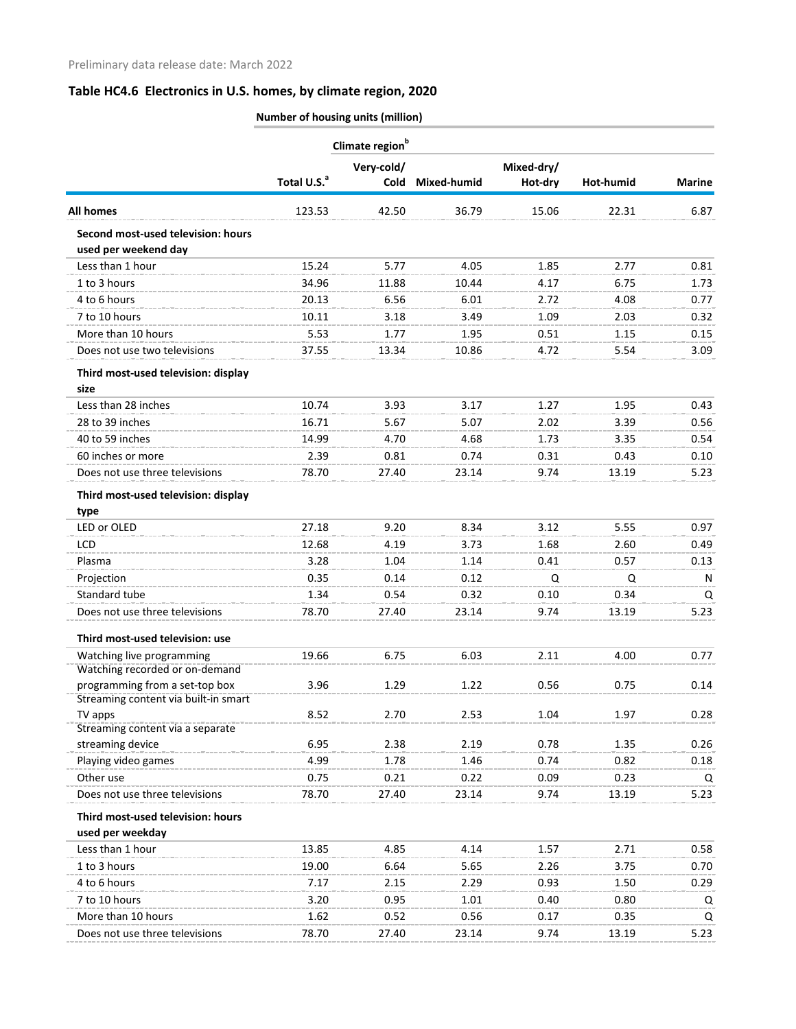**Number of housing units (million)**

|                                                            | Climate region <sup>b</sup> |            |                  |            |           |               |
|------------------------------------------------------------|-----------------------------|------------|------------------|------------|-----------|---------------|
|                                                            |                             | Very-cold/ |                  | Mixed-dry/ |           |               |
|                                                            | Total U.S. <sup>a</sup>     |            | Cold Mixed-humid | Hot-dry    | Hot-humid | <b>Marine</b> |
| <b>All homes</b>                                           | 123.53                      | 42.50      | 36.79            | 15.06      | 22.31     | 6.87          |
| Second most-used television: hours<br>used per weekend day |                             |            |                  |            |           |               |
| Less than 1 hour                                           | 15.24                       | 5.77       | 4.05             | 1.85       | 2.77      | 0.81          |
| 1 to 3 hours                                               | 34.96                       | 11.88      | 10.44            | 4.17       | 6.75      | 1.73          |
| 4 to 6 hours                                               | 20.13                       | 6.56       | 6.01             | 2.72       | 4.08      | 0.77          |
| 7 to 10 hours                                              | 10.11                       | 3.18       | 3.49             | 1.09       | 2.03      | 0.32          |
| More than 10 hours                                         | 5.53                        | 1.77       | 1.95             | 0.51       | 1.15      | 0.15          |
| Does not use two televisions                               | 37.55                       | 13.34      | 10.86            | 4.72       | 5.54      | 3.09          |
| Third most-used television: display<br>size                |                             |            |                  |            |           |               |
| Less than 28 inches                                        | 10.74                       | 3.93       | 3.17             | 1.27       | 1.95      | 0.43          |
| 28 to 39 inches                                            | 16.71                       | 5.67       | 5.07             | 2.02       | 3.39      | 0.56          |
| 40 to 59 inches                                            | 14.99                       | 4.70       | 4.68             | 1.73       | 3.35      | 0.54          |
| 60 inches or more                                          | 2.39                        | 0.81       | 0.74             | 0.31       | 0.43      | 0.10          |
| Does not use three televisions                             | 78.70                       | 27.40      | 23.14            | 9.74       | 13.19     | 5.23          |
| Third most-used television: display                        |                             |            |                  |            |           |               |
| type                                                       |                             |            |                  |            |           |               |
| LED or OLED                                                | 27.18                       | 9.20       | 8.34             | 3.12       | 5.55      | 0.97          |
| LCD                                                        | 12.68                       | 4.19       | 3.73             | 1.68       | 2.60      | 0.49          |
| Plasma                                                     | 3.28                        | 1.04       | 1.14             | 0.41       | 0.57      | 0.13          |
| Projection                                                 | 0.35                        | 0.14       | 0.12             | Q          | Q         | N             |
| Standard tube                                              | 1.34                        | 0.54       | 0.32             | 0.10       | 0.34      | Q             |
| Does not use three televisions                             | 78.70                       | 27.40      | 23.14            | 9.74       | 13.19     | 5.23          |
| Third most-used television: use                            |                             |            |                  |            |           |               |
| Watching live programming                                  | 19.66                       | 6.75       | 6.03             | 2 1 1      | 4.00      | 0.77          |
| Watching recorded or on-demand                             |                             |            |                  |            |           |               |
| programming from a set-top box                             | 3.96                        | 1.29       | 1.22             | 0.56       | 0.75      | 0.14          |
| Streaming content via built-in smart<br>TV apps            | 8.52                        | 2.70       | 2.53             | 1.04       | 1.97      | 0.28          |
| Streaming content via a separate                           |                             |            |                  |            |           |               |
| streaming device                                           | 6.95                        | 2.38       | 2.19             | 0.78       | 1.35      | 0.26          |
| Playing video games                                        | 4.99                        | 1.78       | 1.46             | 0.74       | 0.82      | 0.18          |
| Other use                                                  | 0.75                        | 0.21       | 0.22             | 0.09       | 0.23      | Q             |
| Does not use three televisions                             | 78.70                       | 27.40      | 23.14            | 9.74       | 13.19     | 5.23          |
| Third most-used television: hours<br>used per weekday      |                             |            |                  |            |           |               |
| Less than 1 hour                                           | 13.85                       | 4.85       | 4.14             | 1.57       | 2.71      | 0.58          |
| 1 to 3 hours                                               | 19.00                       | 6.64       | 5.65             | 2.26       | 3.75      | 0.70          |
| 4 to 6 hours                                               | 7.17                        | 2.15       | 2.29             | 0.93       | 1.50      | 0.29          |
| 7 to 10 hours                                              | 3.20                        | 0.95       | 1.01             | 0.40       | 0.80      | Q             |
| More than 10 hours                                         | 1.62                        | 0.52       | 0.56             | 0.17       | 0.35      | Q             |
| Does not use three televisions                             | 78.70                       | 27.40      | 23.14            | 9.74       | 13.19     | 5.23          |
|                                                            |                             |            |                  |            |           |               |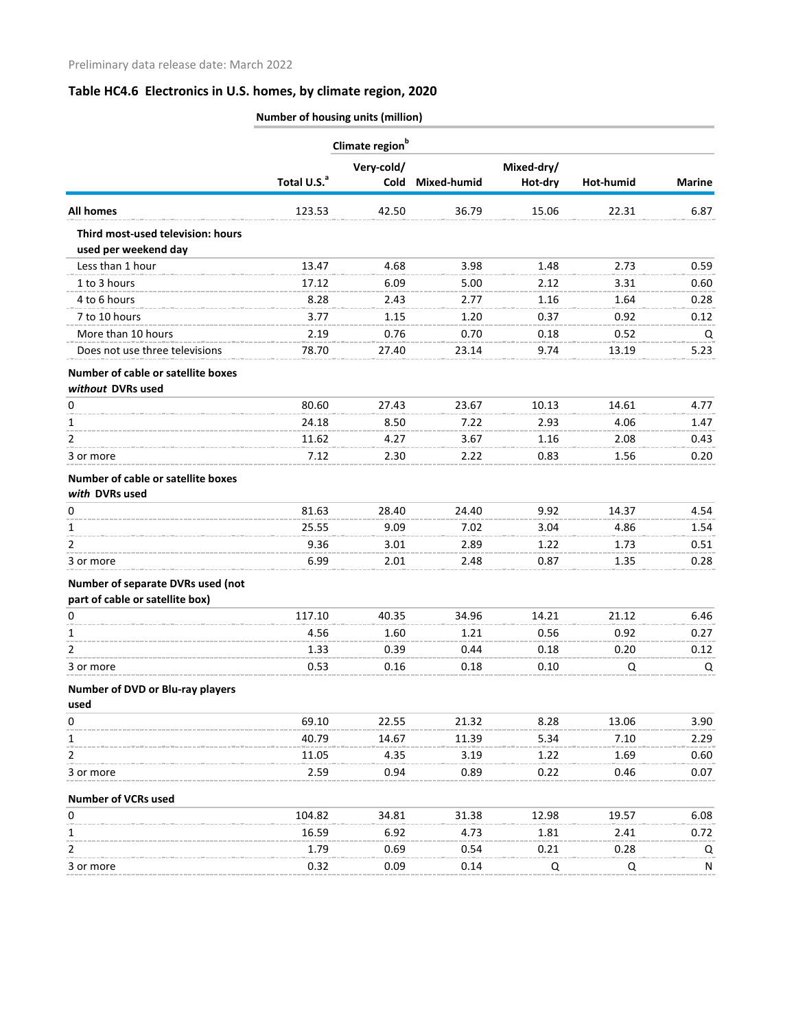|                                                                | Total U.S. <sup>a</sup> | Climate region <sup>b</sup> |             |            |           |               |
|----------------------------------------------------------------|-------------------------|-----------------------------|-------------|------------|-----------|---------------|
|                                                                |                         | Very-cold/                  |             | Mixed-dry/ |           |               |
|                                                                |                         | Cold                        | Mixed-humid | Hot-dry    | Hot-humid | <b>Marine</b> |
| <b>All homes</b>                                               | 123.53                  | 42.50                       | 36.79       | 15.06      | 22.31     | 6.87          |
| Third most-used television: hours                              |                         |                             |             |            |           |               |
| used per weekend day                                           |                         |                             |             |            |           |               |
| Less than 1 hour                                               | 13.47                   | 4.68                        | 3.98        | 1.48       | 2.73      | 0.59          |
| 1 to 3 hours                                                   | 17.12                   | 6.09                        | 5.00        | 2.12       | 3.31      | 0.60          |
| 4 to 6 hours                                                   | 8.28                    | 2.43                        | 2.77        | 1.16       | 1.64      | 0.28          |
| 7 to 10 hours                                                  | 3.77                    | 1.15                        | 1.20        | 0.37       | 0.92      | 0.12          |
| More than 10 hours                                             | 2.19                    | 0.76                        | 0.70        | 0.18       | 0.52      | Q             |
| Does not use three televisions                                 | 78.70                   | 27.40                       | 23.14       | 9.74       | 13.19     | 5.23          |
| <b>Number of cable or satellite boxes</b><br>without DVRs used |                         |                             |             |            |           |               |
| 0                                                              | 80.60                   | 27.43                       | 23.67       | 10.13      | 14.61     | 4.77          |
| 1                                                              | 24.18                   | 8.50                        | 7.22        | 2.93       | 4.06      | 1.47          |
| 2                                                              | 11.62                   | 4.27                        | 3.67        | 1.16       | 2.08      | 0.43          |
| 3 or more                                                      | 7.12                    | 2.30                        | 2.22        | 0.83       | 1.56      | 0.20          |
| Number of cable or satellite boxes                             |                         |                             |             |            |           |               |
| with DVRs used                                                 |                         |                             |             |            |           |               |
| 0                                                              | 81.63                   | 28.40                       | 24.40       | 9.92       | 14.37     | 4.54          |
| 1                                                              | 25.55                   | 9.09                        | 7.02        | 3.04       | 4.86      | 1.54          |
| 2                                                              | 9.36                    | 3.01                        | 2.89        | 1.22       | 1.73      | 0.51          |
| 3 or more                                                      | 6.99                    | 2.01                        | 2.48        | 0.87       | 1.35      | 0.28          |
| Number of separate DVRs used (not                              |                         |                             |             |            |           |               |
| part of cable or satellite box)                                |                         |                             |             |            |           |               |
| 0                                                              | 117.10                  | 40.35                       | 34.96       | 14.21      | 21.12     | 6.46          |
| 1                                                              | 4.56                    | 1.60                        | 1.21        | 0.56       | 0.92      | 0.27          |
| 2                                                              | 1.33                    | 0.39                        | 0.44        | 0.18       | 0.20      | 0.12          |
| 3 or more                                                      | 0.53                    | 0.16                        | 0.18        | 0.10       | Q         | Q             |
| Number of DVD or Blu-ray players                               |                         |                             |             |            |           |               |
| used                                                           |                         |                             |             |            |           |               |
| 0                                                              | 69.10                   | 22.55                       | 21.32       | 8.28       | 13.06     | 3.90          |
|                                                                | 40.79                   | 14.67                       | 11.39       | 5.34       | 7.10      | 2.29          |
| 2                                                              | 11.05                   | 4.35                        | 3.19        | 1.22       | 1.69      | 0.60          |
| 3 or more                                                      | 2.59                    | 0.94                        | 0.89        | 0.22       | 0.46      | 0.07          |
| <b>Number of VCRs used</b>                                     |                         |                             |             |            |           |               |
| 0                                                              | 104.82                  | 34.81                       | 31.38       | 12.98      | 19.57     | 6.08          |
|                                                                | 16.59                   | 6.92                        | 4.73        | 1.81       | 2.41      | 0.72          |
|                                                                | 1.79                    | 0.69                        | 0.54        | 0.21       | 0.28      | Q             |
| 3 or more                                                      | 0.32                    | 0.09                        | 0.14        | Q          | Q         | N             |

**Number of housing units (million)**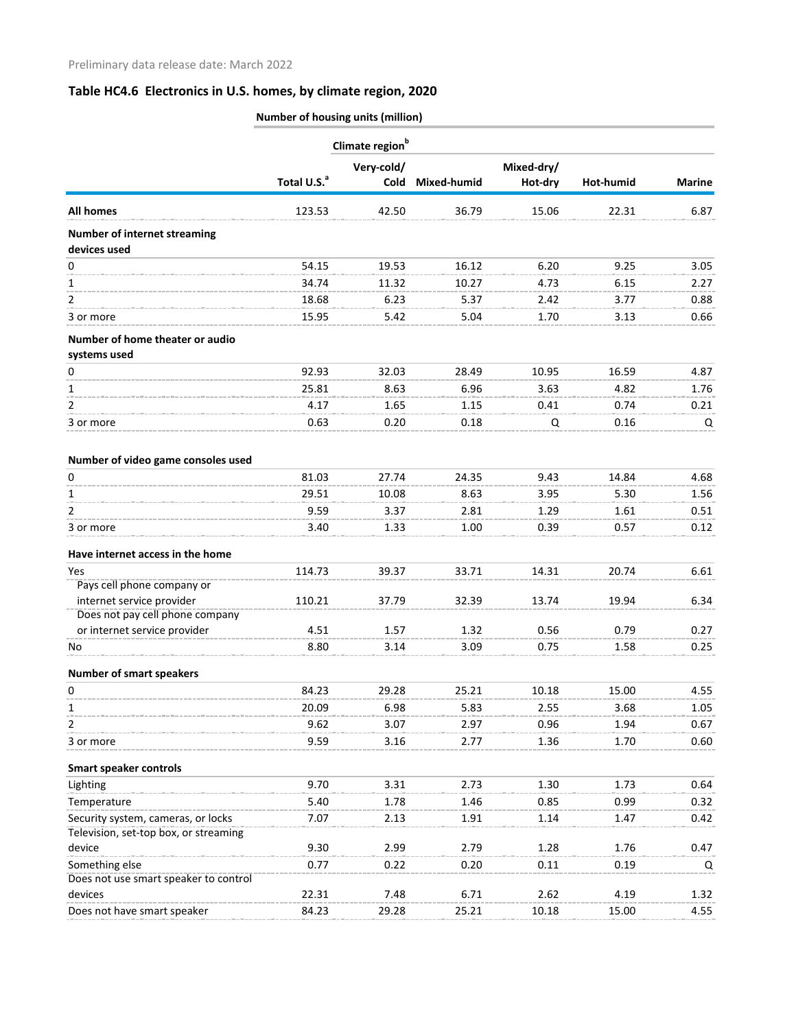|                                                     | Number of housing units (million) |            |                    |            |           |               |
|-----------------------------------------------------|-----------------------------------|------------|--------------------|------------|-----------|---------------|
|                                                     | Climate region <sup>b</sup>       |            |                    |            |           |               |
|                                                     |                                   | Very-cold/ |                    | Mixed-dry/ |           |               |
|                                                     | Total U.S. <sup>a</sup>           | Cold       | <b>Mixed-humid</b> | Hot-dry    | Hot-humid | <b>Marine</b> |
| <b>All homes</b>                                    | 123.53                            | 42.50      | 36.79              | 15.06      | 22.31     | 6.87          |
| <b>Number of internet streaming</b><br>devices used |                                   |            |                    |            |           |               |
| 0                                                   | 54.15                             | 19.53      | 16.12              | 6.20       | 9.25      | 3.05          |
| 1                                                   | 34.74                             | 11.32      | 10.27              | 4.73       | 6.15      | 2.27          |
| 2                                                   | 18.68                             | 6.23       | 5.37               | 2.42       | 3.77      | 0.88          |
|                                                     |                                   |            |                    |            |           |               |
| 3 or more                                           | 15.95                             | 5.42       | 5.04               | 1.70       | 3.13      | 0.66          |
| Number of home theater or audio                     |                                   |            |                    |            |           |               |
| systems used                                        |                                   |            |                    |            |           |               |
| 0                                                   | 92.93                             | 32.03      | 28.49              | 10.95      | 16.59     | 4.87          |
| 1                                                   | 25.81                             | 8.63       | 6.96               | 3.63       | 4.82      | 1.76          |
| 2                                                   | 4.17                              | 1.65       | 1.15               | 0.41       | 0.74      | 0.21          |
| 3 or more                                           | 0.63                              | 0.20       | 0.18               | Q          | 0.16      | Q             |
| Number of video game consoles used                  |                                   |            |                    |            |           |               |
| 0                                                   | 81.03                             | 27.74      | 24.35              | 9.43       | 14.84     | 4.68          |
| 1                                                   | 29.51                             | 10.08      | 8.63               | 3.95       | 5.30      | 1.56          |
| $\overline{2}$                                      | 9.59                              | 3.37       | 2.81               | 1.29       | 1.61      | 0.51          |
| 3 or more                                           | 3.40                              | 1.33       | 1.00               | 0.39       | 0.57      | 0.12          |
| Have internet access in the home                    |                                   |            |                    |            |           |               |
| Yes                                                 | 114.73                            | 39.37      | 33.71              | 14.31      | 20.74     | 6.61          |
| Pays cell phone company or                          |                                   |            |                    |            |           |               |
| internet service provider                           | 110.21                            | 37.79      | 32.39              | 13.74      | 19.94     | 6.34          |
| Does not pay cell phone company                     |                                   |            |                    |            |           |               |
| or internet service provider                        | 4.51                              | 1.57       | 1.32               | 0.56       | 0.79      | 0.27          |
| No                                                  | 8.80                              | 3.14       | 3.09               | 0.75       | 1.58      | 0.25          |
| <b>Number of smart speakers</b>                     |                                   |            |                    |            |           |               |
| 0                                                   | 84.23                             | 29.28      | 25.21              | 10.18      | 15.00     | 4.55          |
| 1                                                   | 20.09                             | 6.98       | 5.83               | 2.55       | 3.68      | 1.05          |
| 2                                                   | 9.62                              | 3.07       | 2.97               | 0.96       | 1.94      | 0.67          |
| 3 or more                                           | 9.59                              | 3.16       | 2.77               | 1.36       | 1.70      | 0.60          |
| <b>Smart speaker controls</b>                       |                                   |            |                    |            |           |               |
| Lighting                                            | 9.70                              | 3.31       | 2.73               | 1.30       | 1.73      | 0.64          |
| Temperature                                         | 5.40                              | 1.78       | 1.46               | 0.85       | 0.99      | 0.32          |
| Security system, cameras, or locks                  | 7.07                              | 2.13       | 1.91               | 1.14       | 1.47      | 0.42          |
| Television, set-top box, or streaming               |                                   |            |                    |            |           |               |
| device                                              | 9.30                              | 2.99       | 2.79               | 1.28       | 1.76      | 0.47          |
| Something else                                      | 0.77                              | 0.22       | 0.20               | 0.11       | 0.19      | Q             |
| Does not use smart speaker to control               |                                   |            |                    |            |           |               |
| devices                                             | 22.31                             | 7.48       | 6.71               | 2.62       | 4.19      | 1.32          |
| Does not have smart speaker                         | 84.23                             | 29.28      | 25.21              | 10.18      | 15.00     | 4.55          |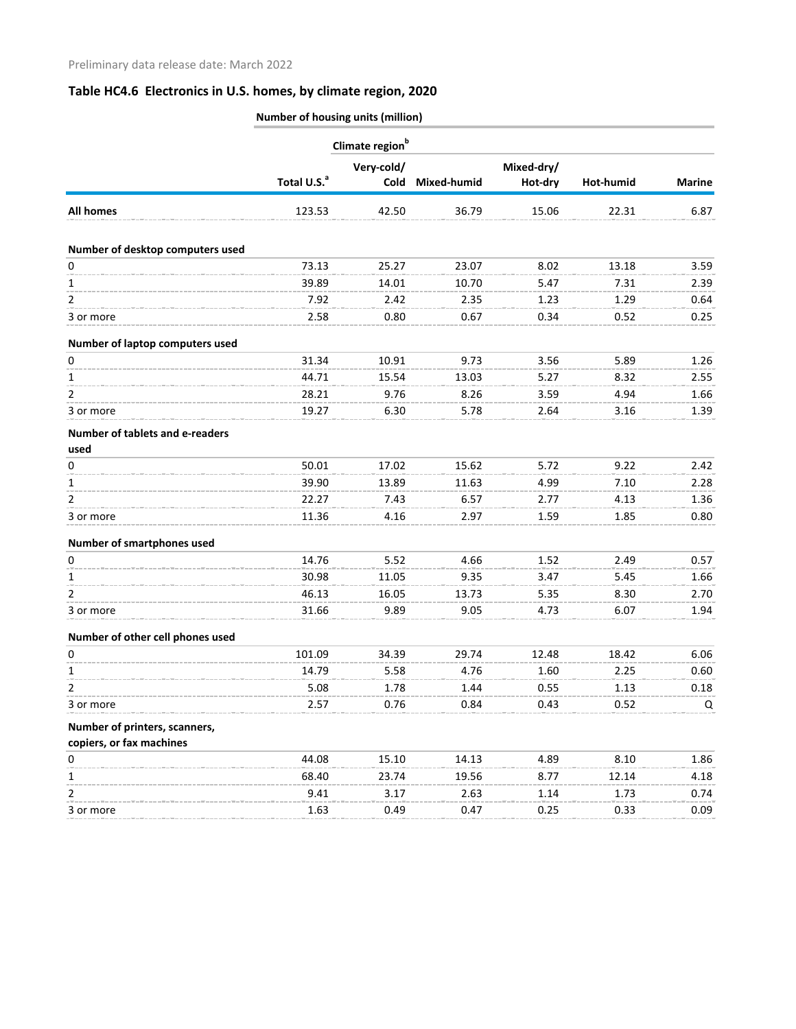|                                         | Number of housing units (million) |                             |                  |            |           |               |
|-----------------------------------------|-----------------------------------|-----------------------------|------------------|------------|-----------|---------------|
|                                         |                                   | Climate region <sup>b</sup> |                  |            |           |               |
|                                         |                                   | Very-cold/                  |                  | Mixed-dry/ |           |               |
|                                         | Total U.S. <sup>a</sup>           |                             | Cold Mixed-humid | Hot-dry    | Hot-humid | <b>Marine</b> |
| <b>All homes</b>                        | 123.53                            | 42.50                       | 36.79            | 15.06      | 22.31     | 6.87          |
| Number of desktop computers used        |                                   |                             |                  |            |           |               |
| 0                                       | 73.13                             | 25.27                       | 23.07            | 8.02       | 13.18     | 3.59          |
| 1                                       | 39.89                             | 14.01                       | 10.70            | 5.47       | 7.31      | 2.39          |
| 2                                       | 7.92                              | 2.42                        | 2.35             | 1.23       | 1.29      | 0.64          |
| 3 or more                               | 2.58                              | 0.80                        | 0.67             | 0.34       | 0.52      | 0.25          |
| Number of laptop computers used         |                                   |                             |                  |            |           |               |
| 0                                       | 31.34                             | 10.91                       | 9.73             | 3.56       | 5.89      | 1.26          |
| 1                                       | 44.71                             | 15.54                       | 13.03            | 5.27       | 8.32      | 2.55          |
| 2                                       | 28.21                             | 9.76                        | 8.26             | 3.59       | 4.94      | 1.66          |
| 3 or more                               | 19.27                             | 6.30                        | 5.78             | 2.64       | 3.16      | 1.39          |
| Number of tablets and e-readers<br>used |                                   |                             |                  |            |           |               |
| 0                                       | 50.01                             | 17.02                       | 15.62            | 5.72       | 9.22      | 2.42          |
| 1                                       | 39.90                             | 13.89                       | 11.63            | 4.99       | 7.10      | 2.28          |
| 2                                       | 22.27                             | 7.43                        | 6.57             | 2.77       | 4.13      | 1.36          |
| 3 or more                               | 11.36                             | 4.16                        | 2.97             | 1.59       | 1.85      | 0.80          |
| <b>Number of smartphones used</b>       |                                   |                             |                  |            |           |               |
| 0                                       | 14.76                             | 5.52                        | 4.66             | 1.52       | 2.49      | 0.57          |
| 1                                       | 30.98                             | 11.05                       | 9.35             | 3.47       | 5.45      | 1.66          |
| 2                                       | 46.13                             | 16.05                       | 13.73            | 5.35       | 8.30      | 2.70          |
| 3 or more                               | 31.66                             | 9.89                        | 9.05             | 4.73       | 6.07      | 1.94          |
| Number of other cell phones used        |                                   |                             |                  |            |           |               |
| 0                                       | 101.09                            | 34.39                       | 29.74            | 12.48      | 18.42     | 6.06          |
| 1                                       | 14.79                             | 5.58                        | 4.76             | 1.60       | 2.25      | 0.60          |
| 2                                       | 5.08                              | 1.78                        | 1.44             | 0.55       | 1.13      | 0.18          |
| 3 or more                               | 2.57                              | 0.76                        | 0.84             | 0.43       | 0.52      | Q             |
| Number of printers, scanners,           |                                   |                             |                  |            |           |               |
| copiers, or fax machines                |                                   |                             |                  |            |           |               |
| 0                                       | 44.08                             | 15.10                       | 14.13            | 4.89       | 8.10      | 1.86          |
| 1                                       | 68.40                             | 23.74                       | 19.56            | 8.77       | 12.14     | 4.18          |
| $\overline{2}$                          | 9.41                              | 3.17                        | 2.63             | 1.14       | 1.73      | 0.74          |
| 3 or more                               | 1.63                              | 0.49                        | 0.47             | 0.25       | 0.33      | 0.09          |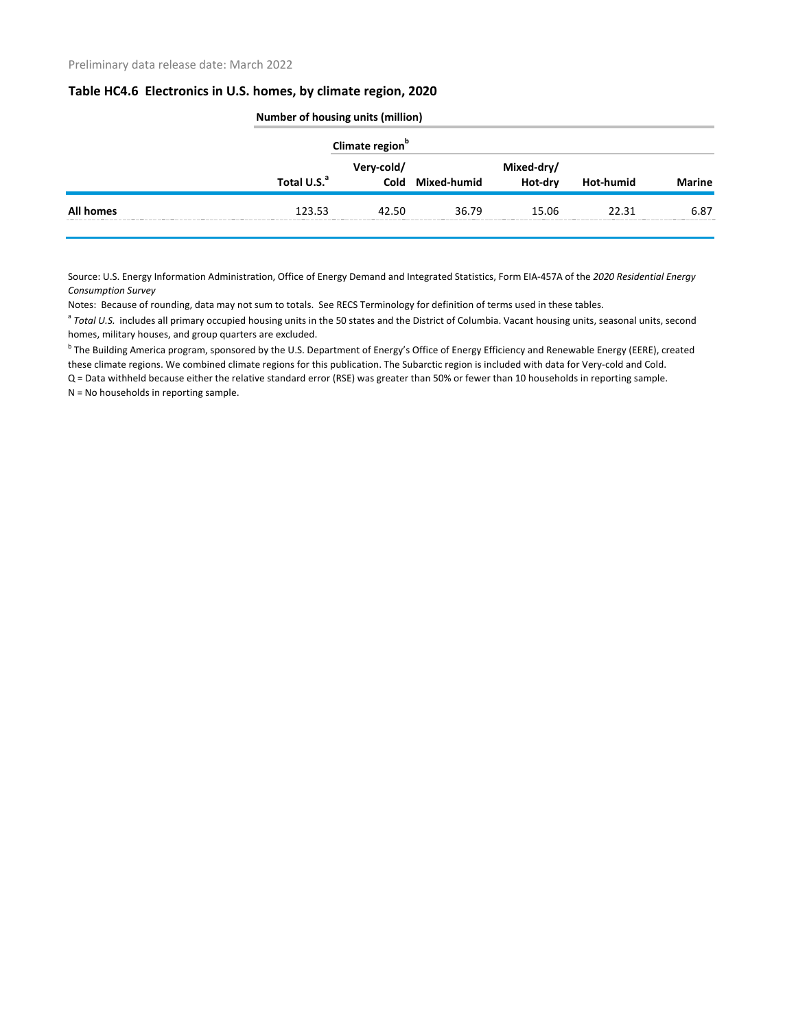|                  |                         | Number of housing units (million) |                  |                       |           |               |  |
|------------------|-------------------------|-----------------------------------|------------------|-----------------------|-----------|---------------|--|
|                  |                         | Climate region <sup>b</sup>       |                  |                       |           |               |  |
|                  | Total U.S. <sup>a</sup> | Very-cold/                        | Cold Mixed-humid | Mixed-dry/<br>Hot-dry | Hot-humid | <b>Marine</b> |  |
| <b>All homes</b> | 123.53                  | 42.50                             | 36.79            | 15.06                 | 22.31     | 6.87          |  |

Source: U.S. Energy Information Administration, Office of Energy Demand and Integrated Statistics, Form EIA-457A of the *2020 Residential Energy Consumption Survey*

Notes: Because of rounding, data may not sum to totals. See RECS Terminology for definition of terms used in these tables.

<sup>a</sup> Total U.S. includes all primary occupied housing units in the 50 states and the District of Columbia. Vacant housing units, seasonal units, second homes, military houses, and group quarters are excluded.

<sup>b</sup> The Building America program, sponsored by the U.S. Department of Energy's Office of Energy Efficiency and Renewable Energy (EERE), created these climate regions. We combined climate regions for this publication. The Subarctic region is included with data for Very-cold and Cold.

Q = Data withheld because either the relative standard error (RSE) was greater than 50% or fewer than 10 households in reporting sample. N = No households in reporting sample.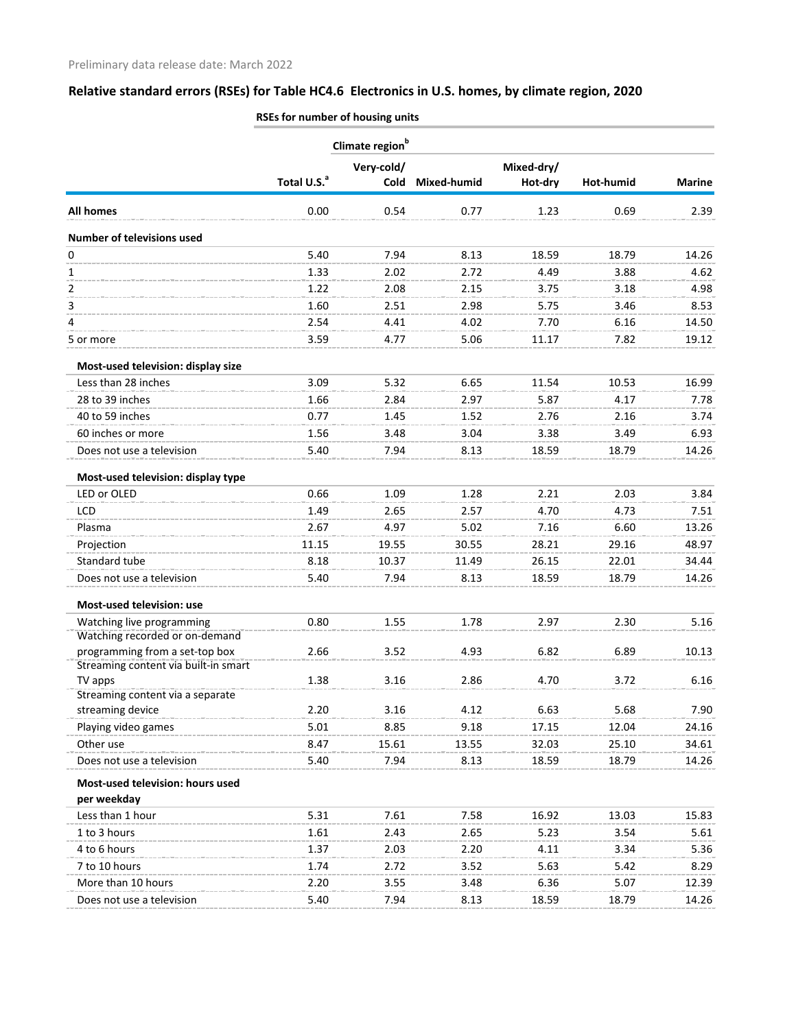|                                                 |                         | Climate region <sup>b</sup> |             |            |           |               |
|-------------------------------------------------|-------------------------|-----------------------------|-------------|------------|-----------|---------------|
|                                                 |                         | Very-cold/                  |             | Mixed-dry/ |           |               |
|                                                 | Total U.S. <sup>a</sup> | Cold                        | Mixed-humid | Hot-dry    | Hot-humid | <b>Marine</b> |
| <b>All homes</b>                                | 0.00                    | 0.54                        | 0.77        | 1.23       | 0.69      | 2.39          |
| Number of televisions used                      |                         |                             |             |            |           |               |
| 0                                               | 5.40                    | 7.94                        | 8.13        | 18.59      | 18.79     | 14.26         |
| 1                                               | 1.33                    | 2.02                        | 2.72        | 4.49       | 3.88      | 4.62          |
| 2                                               | 1.22                    | 2.08                        | 2.15        | 3.75       | 3.18      | 4.98          |
| 3                                               | 1.60                    | 2.51                        | 2.98        | 5.75       | 3.46      | 8.53          |
| 4                                               | 2.54                    | 4.41                        | 4.02        | 7.70       | 6.16      | 14.50         |
| 5 or more                                       | 3.59                    | 4.77                        | 5.06        | 11.17      | 7.82      | 19.12         |
| Most-used television: display size              |                         |                             |             |            |           |               |
| Less than 28 inches                             | 3.09                    | 5.32                        | 6.65        | 11.54      | 10.53     | 16.99         |
| 28 to 39 inches                                 | 1.66                    | 2.84                        | 2.97        | 5.87       | 4.17      | 7.78          |
| 40 to 59 inches                                 | 0.77                    | 1.45                        | 1.52        | 2.76       | 2.16      | 3.74          |
| 60 inches or more                               | 1.56                    | 3.48                        | 3.04        | 3.38       | 3.49      | 6.93          |
| Does not use a television                       | 5.40                    | 7.94                        | 8.13        | 18.59      | 18.79     | 14.26         |
| Most-used television: display type              |                         |                             |             |            |           |               |
| LED or OLED                                     | 0.66                    | 1.09                        | 1.28        | 2.21       | 2.03      | 3.84          |
| LCD                                             | 1.49                    | 2.65                        | 2.57        | 4.70       | 4.73      | 7.51          |
| Plasma                                          | 2.67                    | 4.97                        | 5.02        | 7.16       | 6.60      | 13.26         |
| Projection                                      | 11.15                   | 19.55                       | 30.55       | 28.21      | 29.16     | 48.97         |
| Standard tube                                   | 8.18                    | 10.37                       | 11.49       | 26.15      | 22.01     | 34.44         |
| Does not use a television                       | 5.40                    | 7.94                        | 8.13        | 18.59      | 18.79     | 14.26         |
|                                                 |                         |                             |             |            |           |               |
| Most-used television: use                       |                         |                             |             |            |           |               |
| Watching live programming                       | 0.80                    | 1.55                        | 1.78        | 2.97       | 2.30      | 5.16          |
| Watching recorded or on-demand                  |                         |                             |             |            |           |               |
| programming from a set-top box                  | 2.66                    | 3.52                        | 4.93        | 6.82       | 6.89      | 10.13         |
| Streaming content via built-in smart<br>TV apps | 1.38                    | 3.16                        | 2.86        | 4.70       | 3.72      | 6.16          |
| Streaming content via a separate                |                         |                             |             |            |           |               |
| streaming device                                | 2.20                    | 3.16                        | 4.12        | 6.63       | 5.68      | 7.90          |
| Playing video games                             | 5.01                    | 8.85                        | 9.18        | 17.15      | 12.04     | 24.16         |
| Other use                                       | 8.47                    | 15.61                       | 13.55       | 32.03      | 25.10     | 34.61         |
| Does not use a television                       | 5.40                    | 7.94                        | 8.13        | 18.59      | 18.79     | 14.26         |
| Most-used television: hours used                |                         |                             |             |            |           |               |
| per weekday                                     |                         |                             |             |            |           |               |
| Less than 1 hour                                | 5.31                    | 7.61                        | 7.58        | 16.92      | 13.03     | 15.83         |
| 1 to 3 hours                                    | 1.61                    | 2.43                        | 2.65        | 5.23       | 3.54      | 5.61          |
| 4 to 6 hours                                    | 1.37                    | 2.03                        | 2.20        | 4.11       | 3.34      | 5.36          |
| 7 to 10 hours                                   | 1.74                    | 2.72                        | 3.52        | 5.63       | 5.42      | 8.29          |
| More than 10 hours                              | 2.20                    | 3.55                        | 3.48        | 6.36       | 5.07      | 12.39         |
| Does not use a television                       | 5.40                    | 7.94                        | 8.13        | 18.59      | 18.79     | 14.26         |
|                                                 |                         |                             |             |            |           |               |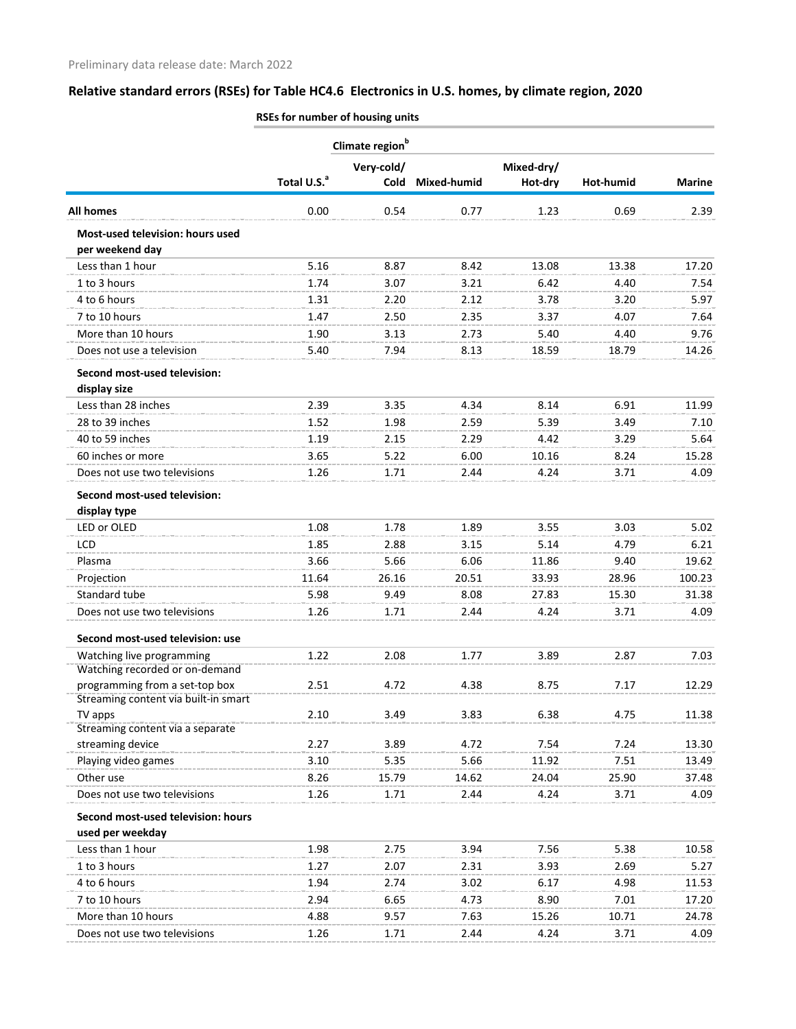|                                                                        | Climate region <sup>b</sup> |              |              |            |               |               |
|------------------------------------------------------------------------|-----------------------------|--------------|--------------|------------|---------------|---------------|
|                                                                        |                             | Very-cold/   |              | Mixed-dry/ |               |               |
|                                                                        | Total U.S. <sup>a</sup>     | Cold         | Mixed-humid  | Hot-dry    | Hot-humid     | <b>Marine</b> |
| <b>All homes</b>                                                       | 0.00                        | 0.54         | 0.77         | 1.23       | 0.69          | 2.39          |
| Most-used television: hours used<br>per weekend day                    |                             |              |              |            |               |               |
| Less than 1 hour                                                       | 5.16                        | 8.87         | 8.42         | 13.08      | 13.38         | 17.20         |
| 1 to 3 hours                                                           | 1.74                        | 3.07         | 3.21         | 6.42       | 4.40          | 7.54          |
| 4 to 6 hours                                                           | 1.31                        | 2.20         | 2.12         | 3.78       | 3.20          | 5.97          |
| 7 to 10 hours                                                          | 1.47                        | 2.50         | 2.35         | 3.37       | 4.07          | 7.64          |
| More than 10 hours                                                     | 1.90                        | 3.13         | 2.73         | 5.40       | 4.40          | 9.76          |
| Does not use a television                                              | 5.40                        | 7.94         | 8.13         | 18.59      | 18.79         | 14.26         |
| Second most-used television:                                           |                             |              |              |            |               |               |
| display size                                                           |                             |              |              |            |               |               |
| Less than 28 inches                                                    | 2.39                        | 3.35         | 4.34         | 8.14       | 6.91          | 11.99         |
| 28 to 39 inches                                                        | 1.52                        | 1.98         | 2.59         | 5.39       | 3.49          | 7.10          |
| 40 to 59 inches                                                        | 1.19                        | 2.15         | 2.29         | 4.42       | 3.29          | 5.64          |
| 60 inches or more                                                      | 3.65                        | 5.22         | 6.00         | 10.16      | 8.24          | 15.28         |
| Does not use two televisions                                           | 1.26                        | 1.71         | 2.44         | 4.24       | 3.71          | 4.09          |
| Second most-used television:                                           |                             |              |              |            |               |               |
| display type                                                           |                             |              |              |            |               |               |
| LED or OLED                                                            | 1.08                        | 1.78         | 1.89         | 3.55       | 3.03          | 5.02          |
| <b>LCD</b>                                                             | 1.85                        | 2.88         | 3.15         | 5.14       | 4.79          | 6.21          |
| Plasma                                                                 | 3.66                        | 5.66         | 6.06         | 11.86      | 9.40          | 19.62         |
| Projection                                                             | 11.64                       | 26.16        | 20.51        | 33.93      | 28.96         | 100.23        |
| Standard tube                                                          | 5.98                        | 9.49         | 8.08         | 27.83      | 15.30         | 31.38         |
| Does not use two televisions                                           | 1.26                        | 1.71         | 2.44         | 4.24       | 3.71          | 4.09          |
| Second most-used television: use                                       |                             |              |              |            |               |               |
| Watching live programming                                              | 1 22                        | 2.08         | 1.77         | 3.89       | 2.87          | 7.03          |
| Watching recorded or on-demand                                         |                             |              |              |            |               |               |
| programming from a set-top box<br>Streaming content via built-in smart | 2.51                        | 4.72         | 4.38         | 8.75       | 7.17          | 12.29         |
| TV apps                                                                | 2.10                        | 3.49         | 3.83         | 6.38       | 4.75          | 11.38         |
| Streaming content via a separate                                       |                             |              |              |            |               |               |
| streaming device                                                       | 2.27                        | 3.89         | 4.72         | 7.54       | 7.24          | 13.30         |
| Playing video games                                                    | 3.10                        | 5.35         | 5.66         | 11.92      | 7.51          | 13.49         |
| Other use                                                              | 8.26                        | 15.79        | 14.62        | 24.04      | 25.90         | 37.48         |
| Does not use two televisions                                           | 1.26                        | 1.71         | 2.44         | 4.24       | 3.71          | 4.09          |
| Second most-used television: hours<br>used per weekday                 |                             |              |              |            |               |               |
| Less than 1 hour                                                       | 1.98                        | 2.75         | 3.94         | 7.56       | 5.38          | 10.58         |
| 1 to 3 hours                                                           | 1.27                        | 2.07         | 2.31         | 3.93       | 2.69          | 5.27          |
| 4 to 6 hours                                                           | 1.94                        | 2.74         | 3.02         | 6.17       | 4.98          | 11.53         |
| 7 to 10 hours                                                          | 2.94                        | 6.65         | 4.73         | 8.90       | 7.01          | 17.20         |
|                                                                        |                             |              |              | 15.26      |               |               |
| More than 10 hours                                                     | 4.88<br>1.26                | 9.57<br>1.71 | 7.63<br>2.44 | 4.24       | 10.71<br>3.71 | 24.78<br>4.09 |
| Does not use two televisions                                           |                             |              |              |            |               |               |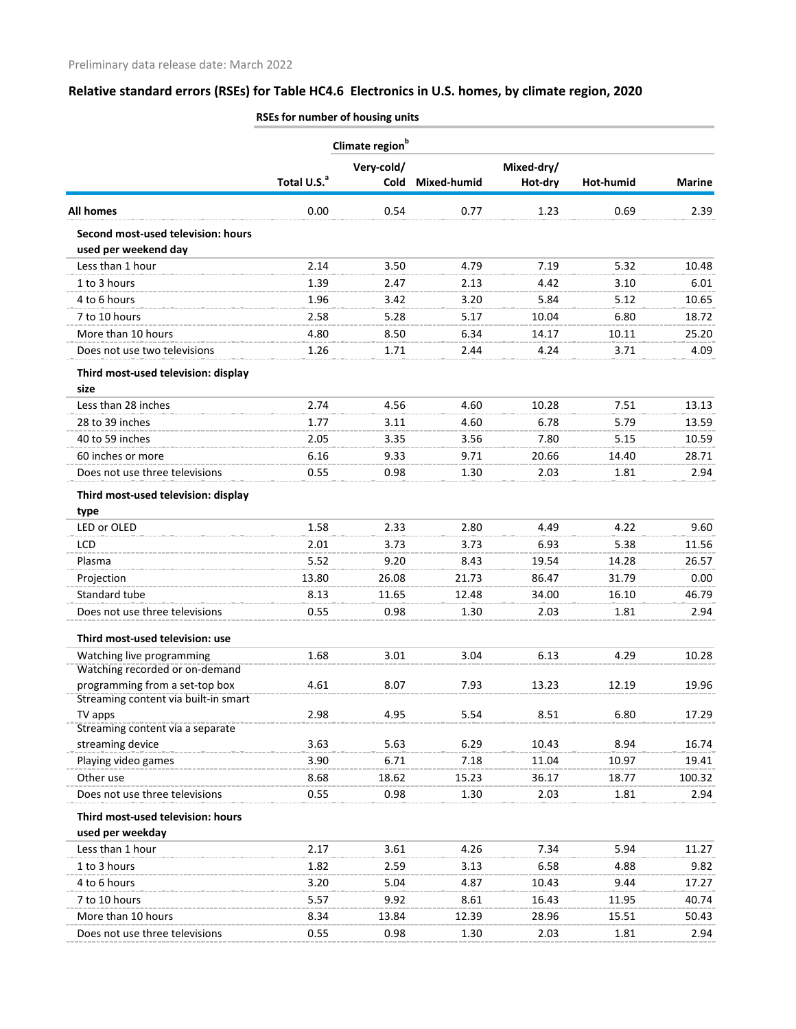|                                                                        | Climate region <sup>b</sup> |              |             |            |              |               |
|------------------------------------------------------------------------|-----------------------------|--------------|-------------|------------|--------------|---------------|
|                                                                        |                             | Very-cold/   |             | Mixed-dry/ |              |               |
|                                                                        | Total U.S. <sup>a</sup>     | Cold         | Mixed-humid | Hot-dry    | Hot-humid    | <b>Marine</b> |
| <b>All homes</b>                                                       | 0.00                        | 0.54         | 0.77        | 1.23       | 0.69         | 2.39          |
| Second most-used television: hours<br>used per weekend day             |                             |              |             |            |              |               |
| Less than 1 hour                                                       | 2.14                        | 3.50         | 4.79        | 7.19       | 5.32         | 10.48         |
| 1 to 3 hours                                                           | 1.39                        | 2.47         | 2.13        | 4.42       | 3.10         | 6.01          |
| 4 to 6 hours                                                           | 1.96                        | 3.42         | 3.20        | 5.84       | 5.12         | 10.65         |
| 7 to 10 hours                                                          | 2.58                        | 5.28         | 5.17        | 10.04      | 6.80         | 18.72         |
| More than 10 hours                                                     | 4.80                        | 8.50         | 6.34        | 14.17      | 10.11        | 25.20         |
| Does not use two televisions                                           | 1.26                        | 1.71         | 2.44        | 4.24       | 3.71         | 4.09          |
| Third most-used television: display<br>size                            |                             |              |             |            |              |               |
| Less than 28 inches                                                    | 2.74                        | 4.56         | 4.60        | 10.28      | 7.51         | 13.13         |
| 28 to 39 inches                                                        | 1.77                        | 3.11         | 4.60        | 6.78       | 5.79         | 13.59         |
| 40 to 59 inches                                                        | 2.05                        | 3.35         | 3.56        | 7.80       | 5.15         | 10.59         |
| 60 inches or more                                                      | 6.16                        | 9.33         | 9.71        | 20.66      | 14.40        | 28.71         |
| Does not use three televisions                                         | 0.55                        | 0.98         | 1.30        | 2.03       | 1.81         | 2.94          |
| Third most-used television: display                                    |                             |              |             |            |              |               |
| type                                                                   |                             |              |             |            |              |               |
| LED or OLED                                                            | 1.58                        | 2.33         | 2.80        | 4.49       | 4.22         | 9.60          |
| <b>LCD</b>                                                             | 2.01                        | 3.73         | 3.73        | 6.93       | 5.38         | 11.56         |
| Plasma                                                                 | 5.52                        | 9.20         | 8.43        | 19.54      | 14.28        | 26.57         |
| Projection                                                             | 13.80                       | 26.08        | 21.73       | 86.47      | 31.79        | 0.00          |
| Standard tube                                                          | 8.13                        | 11.65        | 12.48       | 34.00      | 16.10        | 46.79         |
| Does not use three televisions                                         | 0.55                        | 0.98         | 1.30        | 2.03       | 1.81         | 2.94          |
| Third most-used television: use                                        |                             |              |             |            |              |               |
| Watching live programming                                              | 1.68                        | 3.01         | 3.04        | 6.13       | 4 29         | 10.28         |
| Watching recorded or on-demand                                         |                             |              |             |            |              |               |
| programming from a set-top box<br>Streaming content via built-in smart | 4.61                        | 8.07         | 7.93        | 13.23      | 12.19        | 19.96         |
| TV apps                                                                | 2.98                        | 4.95         | 5.54        | 8.51       | 6.80         | 17.29         |
| Streaming content via a separate                                       |                             |              |             |            |              |               |
| streaming device                                                       | 3.63                        | 5.63         | 6.29        | 10.43      | 8.94         | 16.74         |
| Playing video games                                                    | 3.90                        | 6.71         | 7.18        | 11.04      | 10.97        | 19.41         |
| Other use                                                              | 8.68                        | 18.62        | 15.23       | 36.17      | 18.77        | 100.32        |
| Does not use three televisions                                         | 0.55                        | 0.98         | 1.30        | 2.03       | 1.81         | 2.94          |
| Third most-used television: hours                                      |                             |              |             |            |              |               |
| used per weekday                                                       |                             |              |             |            |              |               |
| Less than 1 hour                                                       | 2.17                        | 3.61         | 4.26        | 7.34       | 5.94         | 11.27         |
| 1 to 3 hours<br>4 to 6 hours                                           | 1.82<br>3.20                | 2.59<br>5.04 | 3.13        | 6.58       | 4.88<br>9.44 | 9.82          |
|                                                                        |                             |              | 4.87        | 10.43      |              | 17.27         |
| 7 to 10 hours                                                          | 5.57                        | 9.92         | 8.61        | 16.43      | 11.95        | 40.74         |
| More than 10 hours                                                     | 8.34                        | 13.84        | 12.39       | 28.96      | 15.51        | 50.43         |
| Does not use three televisions                                         | 0.55                        | 0.98         | 1.30        | 2.03       | 1.81         | 2.94          |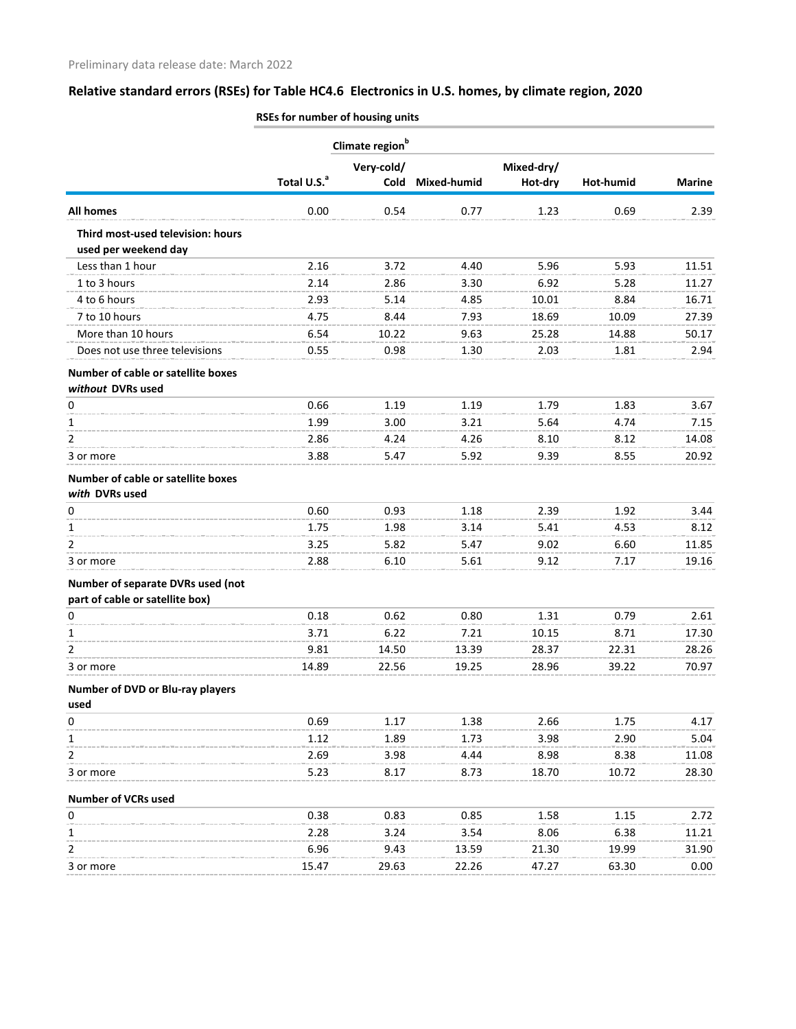|                                                           |                         | Climate region <sup>b</sup> |             |            |           |               |
|-----------------------------------------------------------|-------------------------|-----------------------------|-------------|------------|-----------|---------------|
|                                                           |                         | Very-cold/                  |             | Mixed-dry/ |           |               |
|                                                           | Total U.S. <sup>a</sup> | Cold                        | Mixed-humid | Hot-dry    | Hot-humid | <b>Marine</b> |
| <b>All homes</b>                                          | 0.00                    | 0.54                        | 0.77        | 1.23       | 0.69      | 2.39          |
| Third most-used television: hours<br>used per weekend day |                         |                             |             |            |           |               |
| Less than 1 hour                                          | 2.16                    | 3.72                        | 4.40        | 5.96       | 5.93      | 11.51         |
| 1 to 3 hours                                              | 2.14                    | 2.86                        | 3.30        | 6.92       | 5.28      | 11.27         |
| 4 to 6 hours                                              | 2.93                    | 5.14                        | 4.85        | 10.01      | 8.84      | 16.71         |
| 7 to 10 hours                                             | 4.75                    | 8.44                        | 7.93        | 18.69      | 10.09     | 27.39         |
| More than 10 hours                                        | 6.54                    | 10.22                       | 9.63        | 25.28      | 14.88     | 50.17         |
| Does not use three televisions                            | 0.55                    | 0.98                        | 1.30        | 2.03       | 1.81      | 2.94          |
| Number of cable or satellite boxes                        |                         |                             |             |            |           |               |
| without DVRs used                                         |                         |                             |             |            |           |               |
| 0                                                         | 0.66                    | 1.19                        | 1.19        | 1.79       | 1.83      | 3.67          |
| 1                                                         | 1.99                    | 3.00                        | 3.21        | 5.64       | 4.74      | 7.15          |
| 2                                                         | 2.86                    | 4.24                        | 4.26        | 8.10       | 8.12      | 14.08         |
| 3 or more                                                 | 3.88                    | 5.47                        | 5.92        | 9.39       | 8.55      | 20.92         |
| Number of cable or satellite boxes<br>with DVRs used      |                         |                             |             |            |           |               |
| 0                                                         | 0.60                    | 0.93                        | 1.18        | 2.39       | 1.92      | 3.44          |
| 1                                                         | 1.75                    | 1.98                        | 3.14        | 5.41       | 4.53      | 8.12          |
| 2                                                         | 3.25                    | 5.82                        | 5.47        | 9.02       | 6.60      | 11.85         |
| 3 or more                                                 | 2.88                    | 6.10                        | 5.61        | 9.12       | 7.17      | 19.16         |
| Number of separate DVRs used (not                         |                         |                             |             |            |           |               |
| part of cable or satellite box)                           |                         |                             |             |            |           |               |
| 0                                                         | 0.18                    | 0.62                        | 0.80        | 1.31       | 0.79      | 2.61          |
| 1                                                         | 3.71                    | 6.22                        | 7.21        | 10.15      | 8.71      | 17.30         |
| 2                                                         | 9.81                    | 14.50                       | 13.39       | 28.37      | 22.31     | 28.26         |
| 3 or more                                                 | 14.89                   | 22.56                       | 19.25       | 28.96      | 39.22     | 70.97         |
| Number of DVD or Blu-ray players                          |                         |                             |             |            |           |               |
| used                                                      |                         |                             |             |            |           |               |
| 0                                                         | 0.69                    | 1.17                        | 1.38        | 2.66       | 1.75      | 4.17          |
| 1                                                         | 1.12                    | 1.89                        | 1.73        | 3.98       | 2.90      | 5.04          |
| 2                                                         | 2.69                    | 3.98                        | 4.44        | 8.98       | 8.38      | 11.08         |
| 3 or more                                                 | 5.23                    | 8.17                        | 8.73        | 18.70      | 10.72     | 28.30         |
| <b>Number of VCRs used</b>                                |                         |                             |             |            |           |               |
| 0                                                         | 0.38                    | 0.83                        | 0.85        | 1.58       | 1.15      | 2.72          |
| 1                                                         | 2.28                    | 3.24                        | 3.54        | 8.06       | 6.38      | 11.21         |
| 2                                                         | 6.96                    | 9.43                        | 13.59       | 21.30      | 19.99     | 31.90         |
| 3 or more                                                 | 15.47                   | 29.63                       | 22.26       | 47.27      | 63.30     | 0.00          |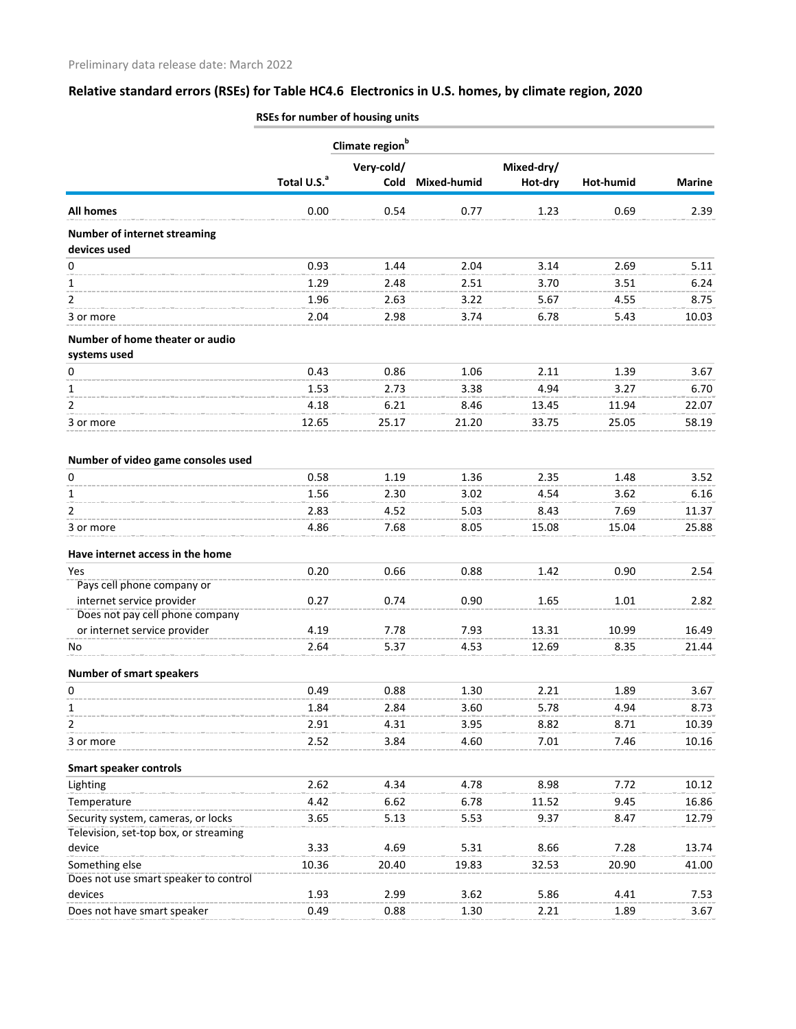|                                                     | Climate region <sup>b</sup> |            |             |            |           |               |
|-----------------------------------------------------|-----------------------------|------------|-------------|------------|-----------|---------------|
|                                                     |                             | Very-cold/ |             | Mixed-dry/ |           |               |
|                                                     | Total U.S. <sup>a</sup>     | Cold       | Mixed-humid | Hot-dry    | Hot-humid | <b>Marine</b> |
| <b>All homes</b>                                    | 0.00                        | 0.54       | 0.77        | 1.23       | 0.69      | 2.39          |
| <b>Number of internet streaming</b><br>devices used |                             |            |             |            |           |               |
| 0                                                   | 0.93                        | 1.44       | 2.04        | 3.14       | 2.69      | 5.11          |
| 1                                                   | 1.29                        | 2.48       | 2.51        | 3.70       | 3.51      | 6.24          |
| 2                                                   | 1.96                        | 2.63       | 3.22        | 5.67       | 4.55      | 8.75          |
| 3 or more                                           | 2.04                        | 2.98       | 3.74        | 6.78       | 5.43      | 10.03         |
|                                                     |                             |            |             |            |           |               |
| Number of home theater or audio<br>systems used     |                             |            |             |            |           |               |
| 0                                                   | 0.43                        | 0.86       | 1.06        | 2.11       | 1.39      | 3.67          |
| 1                                                   | 1.53                        | 2.73       | 3.38        | 4.94       | 3.27      | 6.70          |
| 2                                                   | 4.18                        | 6.21       | 8.46        | 13.45      | 11.94     | 22.07         |
| 3 or more                                           | 12.65                       | 25.17      | 21.20       | 33.75      | 25.05     | 58.19         |
|                                                     |                             |            |             |            |           |               |
| Number of video game consoles used                  |                             |            |             |            |           |               |
| 0                                                   | 0.58                        | 1.19       | 1.36        | 2.35       | 1.48      | 3.52          |
| 1                                                   | 1.56                        | 2.30       | 3.02        | 4.54       | 3.62      | 6.16          |
| $\overline{2}$                                      | 2.83                        | 4.52       | 5.03        | 8.43       | 7.69      | 11.37         |
| 3 or more                                           | 4.86                        | 7.68       | 8.05        | 15.08      | 15.04     | 25.88         |
| Have internet access in the home                    |                             |            |             |            |           |               |
| Yes                                                 | 0.20                        | 0.66       | 0.88        | 1.42       | 0.90      | 2.54          |
| Pays cell phone company or                          |                             |            |             |            |           |               |
| internet service provider                           | 0.27                        | 0.74       | 0.90        | 1.65       | 1.01      | 2.82          |
| Does not pay cell phone company                     |                             |            |             |            |           |               |
| or internet service provider                        | 4.19                        | 7.78       | 7.93        | 13.31      | 10.99     | 16.49         |
| No                                                  | 2.64                        | 5.37       | 4.53        | 12.69      | 8.35      | 21.44         |
| <b>Number of smart speakers</b>                     |                             |            |             |            |           |               |
| 0                                                   | 0.49                        | 0.88       | 1.30        | 2.21       | 1.89      | 3.67          |
| 1                                                   | 1.84                        | 2.84       | 3.60        | 5.78       | 4.94      | 8.73          |
| 2                                                   | 2.91                        | 4.31       | 3.95        | 8.82       | 8.71      | 10.39         |
| 3 or more                                           | 2.52                        | 3.84       | 4.60        | 7.01       | 7.46      | 10.16         |
| <b>Smart speaker controls</b>                       |                             |            |             |            |           |               |
| Lighting                                            | 2.62                        | 4.34       | 4.78        | 8.98       | 7.72      | 10.12         |
| Temperature                                         | 4.42                        | 6.62       | 6.78        | 11.52      | 9.45      | 16.86         |
| Security system, cameras, or locks                  | 3.65                        | 5.13       | 5.53        | 9.37       | 8.47      | 12.79         |
| Television, set-top box, or streaming               |                             |            |             |            |           |               |
| device                                              | 3.33                        | 4.69       | 5.31        | 8.66       | 7.28      | 13.74         |
| Something else                                      | 10.36                       | 20.40      | 19.83       | 32.53      | 20.90     | 41.00         |
| Does not use smart speaker to control               |                             |            |             |            |           |               |
| devices                                             | 1.93                        | 2.99       | 3.62        | 5.86       | 4.41      | 7.53          |
| Does not have smart speaker                         | 0.49                        | 0.88       | 1.30        | 2.21       | 1.89      | 3.67          |